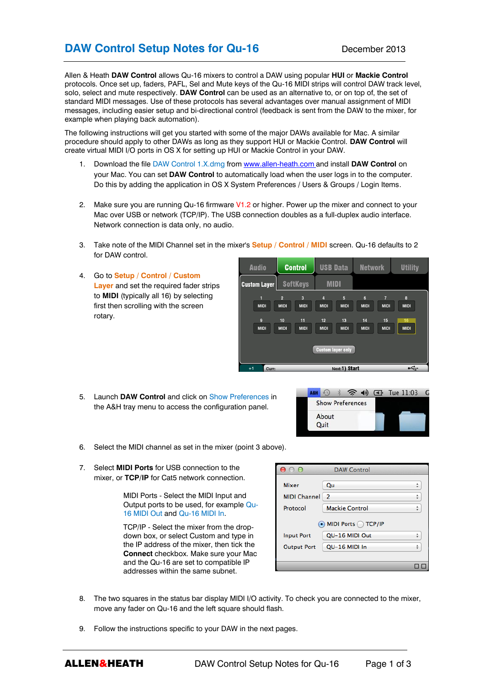# **DAW Control Setup Notes for Qu-16** December 2013

Allen & Heath **DAW Control** allows Qu-16 mixers to control a DAW using popular **HUI** or **Mackie Control** protocols. Once set up, faders, PAFL, Sel and Mute keys of the Qu-16 MIDI strips will control DAW track level, solo, select and mute respectively. **DAW Control** can be used as an alternative to, or on top of, the set of standard MIDI messages. Use of these protocols has several advantages over manual assignment of MIDI messages, including easier setup and bi-directional control (feedback is sent from the DAW to the mixer, for example when playing back automation).

The following instructions will get you started with some of the major DAWs available for Mac. A similar procedure should apply to other DAWs as long as they support HUI or Mackie Control. **DAW Control** will create virtual MIDI I/O ports in OS X for setting up HUI or Mackie Control in your DAW.

- 1. Download the file DAW Control 1.X.dmg from [www.allen-heath.com](http://www.allen-heath.com/) and install **DAW Control** on your Mac. You can set **DAW Control** to automatically load when the user logs in to the computer. Do this by adding the application in OS X System Preferences / Users & Groups / Login Items.
- 2. Make sure you are running Qu-16 firmware V1.2 or higher. Power up the mixer and connect to your Mac over USB or network (TCP/IP). The USB connection doubles as a full-duplex audio interface. Network connection is data only, no audio.
- 3. Take note of the MIDI Channel set in the mixer's **Setup / Control / MIDI** screen. Qu-16 defaults to 2 for DAW control.
- 4. Go to **Setup / Control / Custom Layer** and set the required fader strips to **MIDI** (typically all 16) by selecting first then scrolling with the screen rotary.

| <b>Audio</b>                         | <b>Control</b>                                     |                                                    | <b>USB Data</b>                                                                |                                       | <b>Network</b>                                     |                                                    | <b>Utility</b>                        |
|--------------------------------------|----------------------------------------------------|----------------------------------------------------|--------------------------------------------------------------------------------|---------------------------------------|----------------------------------------------------|----------------------------------------------------|---------------------------------------|
| <b>Custom Layer</b>                  | <b>SoftKeys</b>                                    |                                                    | <b>MIDI</b>                                                                    |                                       |                                                    |                                                    |                                       |
| 1<br><b>MIDI</b><br>9<br><b>MIDI</b> | $\overline{2}$<br><b>MIDI</b><br>10<br><b>MIDI</b> | $\overline{3}$<br><b>MIDI</b><br>11<br><b>MIDI</b> | $\overline{4}$<br><b>MIDI</b><br>12<br><b>MIDI</b><br><b>Custom layer only</b> | 5<br><b>MIDI</b><br>13<br><b>MIDI</b> | $6\phantom{1}$<br><b>MIDI</b><br>14<br><b>MIDI</b> | $\overline{7}$<br><b>MIDI</b><br>15<br><b>MIDI</b> | 8<br><b>MIDI</b><br>16<br><b>MIDI</b> |
| Next: 1) Start<br>$+1$<br>Curr:      |                                                    |                                                    |                                                                                |                                       |                                                    |                                                    | Æ                                     |

5. Launch **DAW Control** and click on Show Preferences in the A&H tray menu to access the configuration panel.



- 6. Select the MIDI channel as set in the mixer (point 3 above).
- 7. Select **MIDI Ports** for USB connection to the mixer, or **TCP/IP** for Cat5 network connection.

MIDI Ports - Select the MIDI Input and Output ports to be used, for example Qu-16 MIDI Out and Qu-16 MIDI In.

TCP/IP - Select the mixer from the dropdown box, or select Custom and type in the IP address of the mixer, then tick the **Connect** checkbox. Make sure your Mac and the Qu-16 are set to compatible IP addresses within the same subnet.



- 8. The two squares in the status bar display MIDI I/O activity. To check you are connected to the mixer, move any fader on Qu-16 and the left square should flash.
- 9. Follow the instructions specific to your DAW in the next pages.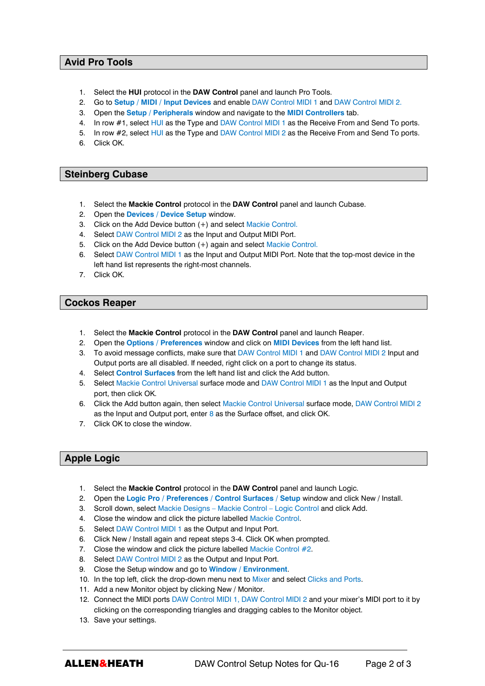### **Avid Pro Tools**

- 1. Select the **HUI** protocol in the **DAW Control** panel and launch Pro Tools.
- 2. Go to **Setup / MIDI / Input Devices** and enable DAW Control MIDI 1 and DAW Control MIDI 2.
- 3. Open the **Setup / Peripherals** window and navigate to the **MIDI Controllers** tab.
- 4. In row #1, select HUI as the Type and DAW Control MIDI 1 as the Receive From and Send To ports.
- 5. In row #2, select HUI as the Type and DAW Control MIDI 2 as the Receive From and Send To ports.
- 6. Click OK.

### **Steinberg Cubase**

- 1. Select the **Mackie Control** protocol in the **DAW Control** panel and launch Cubase.
- 2. Open the **Devices / Device Setup** window.
- 3. Click on the Add Device button (+) and select Mackie Control.
- 4. Select DAW Control MIDI 2 as the Input and Output MIDI Port.
- 5. Click on the Add Device button (+) again and select Mackie Control.
- 6. Select DAW Control MIDI 1 as the Input and Output MIDI Port. Note that the top-most device in the left hand list represents the right-most channels.
- 7. Click OK.

### **Cockos Reaper**

- 1. Select the **Mackie Control** protocol in the **DAW Control** panel and launch Reaper.
- 2. Open the **Options / Preferences** window and click on **MIDI Devices** from the left hand list.
- 3. To avoid message conflicts, make sure that DAW Control MIDI 1 and DAW Control MIDI 2 Input and Output ports are all disabled. If needed, right click on a port to change its status.
- 4. Select **Control Surfaces** from the left hand list and click the Add button.
- 5. Select Mackie Control Universal surface mode and DAW Control MIDI 1 as the Input and Output port, then click OK.
- 6. Click the Add button again, then select Mackie Control Universal surface mode, DAW Control MIDI 2 as the Input and Output port, enter 8 as the Surface offset, and click OK.
- 7. Click OK to close the window.

## **Apple Logic**

- 1. Select the **Mackie Control** protocol in the **DAW Control** panel and launch Logic.
- 2. Open the **Logic Pro / Preferences / Control Surfaces / Setup** window and click New / Install.
- 3. Scroll down, select Mackie Designs Mackie Control Logic Control and click Add.
- 4. Close the window and click the picture labelled Mackie Control.
- 5. Select DAW Control MIDI 1 as the Output and Input Port.
- 6. Click New / Install again and repeat steps 3-4. Click OK when prompted.
- 7. Close the window and click the picture labelled Mackie Control #2.
- 8. Select DAW Control MIDI 2 as the Output and Input Port.
- 9. Close the Setup window and go to **Window / Environment**.
- 10. In the top left, click the drop-down menu next to Mixer and select Clicks and Ports.
- 11. Add a new Monitor object by clicking New / Monitor.
- 12. Connect the MIDI ports DAW Control MIDI 1, DAW Control MIDI 2 and your mixer's MIDI port to it by clicking on the corresponding triangles and dragging cables to the Monitor object.
- 13. Save your settings.